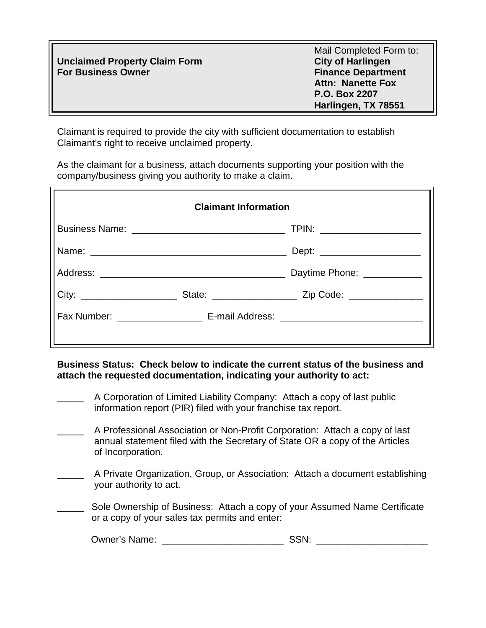|                                      | Mail Completed Form to:   |
|--------------------------------------|---------------------------|
| <b>Unclaimed Property Claim Form</b> | <b>City of Harlingen</b>  |
| <b>For Business Owner</b>            | <b>Finance Department</b> |
|                                      | <b>Attn: Nanette Fox</b>  |
|                                      | P.O. Box 2207             |
|                                      | Harlingen, TX 78551       |

Claimant is required to provide the city with sufficient documentation to establish Claimant's right to receive unclaimed property.

As the claimant for a business, attach documents supporting your position with the company/business giving you authority to make a claim.

| <b>Claimant Information</b> |  |                               |
|-----------------------------|--|-------------------------------|
|                             |  | TPIN: ______________________  |
|                             |  | Dept: _______________________ |
|                             |  | Daytime Phone: ___________    |
|                             |  |                               |
|                             |  |                               |
|                             |  |                               |

**Business Status: Check below to indicate the current status of the business and attach the requested documentation, indicating your authority to act:**

- A Corporation of Limited Liability Company: Attach a copy of last public information report (PIR) filed with your franchise tax report.
- A Professional Association or Non-Profit Corporation: Attach a copy of last annual statement filed with the Secretary of State OR a copy of the Articles of Incorporation.
- A Private Organization, Group, or Association: Attach a document establishing your authority to act.
	- Sole Ownership of Business: Attach a copy of your Assumed Name Certificate or a copy of your sales tax permits and enter:

| <b>Owner's Name:</b> |  |
|----------------------|--|
|----------------------|--|